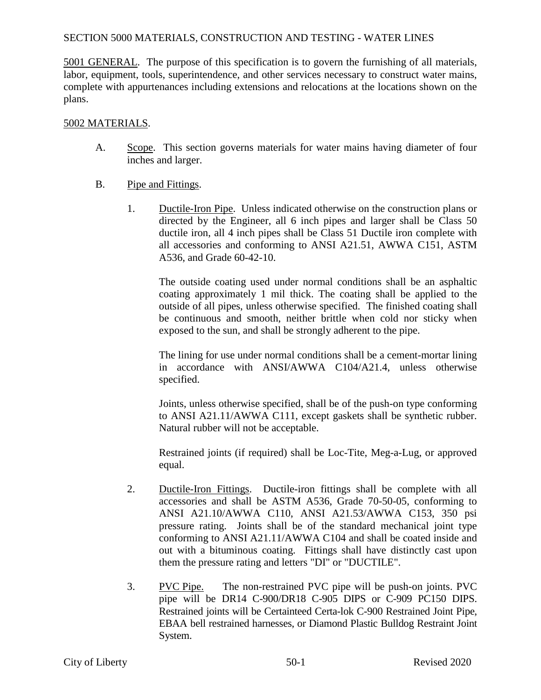# SECTION 5000 MATERIALS, CONSTRUCTION AND TESTING - WATER LINES

5001 GENERAL. The purpose of this specification is to govern the furnishing of all materials, labor, equipment, tools, superintendence, and other services necessary to construct water mains, complete with appurtenances including extensions and relocations at the locations shown on the plans.

### 5002 MATERIALS.

- A. Scope. This section governs materials for water mains having diameter of four inches and larger.
- B. Pipe and Fittings.
	- 1. Ductile-Iron Pipe. Unless indicated otherwise on the construction plans or directed by the Engineer, all 6 inch pipes and larger shall be Class 50 ductile iron, all 4 inch pipes shall be Class 51 Ductile iron complete with all accessories and conforming to ANSI A21.51, AWWA C151, ASTM A536, and Grade 60-42-10.

The outside coating used under normal conditions shall be an asphaltic coating approximately 1 mil thick. The coating shall be applied to the outside of all pipes, unless otherwise specified. The finished coating shall be continuous and smooth, neither brittle when cold nor sticky when exposed to the sun, and shall be strongly adherent to the pipe.

The lining for use under normal conditions shall be a cement-mortar lining in accordance with ANSI/AWWA C104/A21.4, unless otherwise specified.

Joints, unless otherwise specified, shall be of the push-on type conforming to ANSI A21.11/AWWA C111, except gaskets shall be synthetic rubber. Natural rubber will not be acceptable.

Restrained joints (if required) shall be Loc-Tite, Meg-a-Lug, or approved equal.

- 2. Ductile-Iron Fittings. Ductile-iron fittings shall be complete with all accessories and shall be ASTM A536, Grade 70-50-05, conforming to ANSI A21.10/AWWA C110, ANSI A21.53/AWWA C153, 350 psi pressure rating. Joints shall be of the standard mechanical joint type conforming to ANSI A21.11/AWWA C104 and shall be coated inside and out with a bituminous coating. Fittings shall have distinctly cast upon them the pressure rating and letters "DI" or "DUCTILE".
- 3. PVC Pipe. The non-restrained PVC pipe will be push-on joints. PVC pipe will be DR14 C-900/DR18 C-905 DIPS or C-909 PC150 DIPS. Restrained joints will be Certainteed Certa-lok C-900 Restrained Joint Pipe, EBAA bell restrained harnesses, or Diamond Plastic Bulldog Restraint Joint System.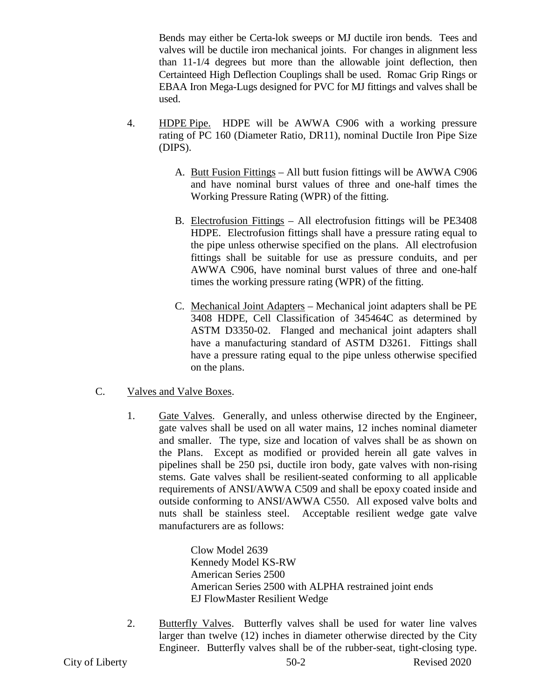Bends may either be Certa-lok sweeps or MJ ductile iron bends. Tees and valves will be ductile iron mechanical joints. For changes in alignment less than 11-1/4 degrees but more than the allowable joint deflection, then Certainteed High Deflection Couplings shall be used. Romac Grip Rings or EBAA Iron Mega-Lugs designed for PVC for MJ fittings and valves shall be used.

- 4. HDPE Pipe. HDPE will be AWWA C906 with a working pressure rating of PC 160 (Diameter Ratio, DR11), nominal Ductile Iron Pipe Size (DIPS).
	- A. Butt Fusion Fittings All butt fusion fittings will be AWWA C906 and have nominal burst values of three and one-half times the Working Pressure Rating (WPR) of the fitting.
	- B. Electrofusion Fittings All electrofusion fittings will be PE3408 HDPE. Electrofusion fittings shall have a pressure rating equal to the pipe unless otherwise specified on the plans. All electrofusion fittings shall be suitable for use as pressure conduits, and per AWWA C906, have nominal burst values of three and one-half times the working pressure rating (WPR) of the fitting.
	- C. Mechanical Joint Adapters Mechanical joint adapters shall be PE 3408 HDPE, Cell Classification of 345464C as determined by ASTM D3350-02. Flanged and mechanical joint adapters shall have a manufacturing standard of ASTM D3261. Fittings shall have a pressure rating equal to the pipe unless otherwise specified on the plans.
- C. Valves and Valve Boxes.
	- 1. Gate Valves. Generally, and unless otherwise directed by the Engineer, gate valves shall be used on all water mains, 12 inches nominal diameter and smaller. The type, size and location of valves shall be as shown on the Plans. Except as modified or provided herein all gate valves in pipelines shall be 250 psi, ductile iron body, gate valves with non-rising stems. Gate valves shall be resilient-seated conforming to all applicable requirements of ANSI/AWWA C509 and shall be epoxy coated inside and outside conforming to ANSI/AWWA C550. All exposed valve bolts and nuts shall be stainless steel. Acceptable resilient wedge gate valve manufacturers are as follows:

Clow Model 2639 Kennedy Model KS-RW American Series 2500 American Series 2500 with ALPHA restrained joint ends EJ FlowMaster Resilient Wedge

2. Butterfly Valves. Butterfly valves shall be used for water line valves larger than twelve (12) inches in diameter otherwise directed by the City Engineer. Butterfly valves shall be of the rubber-seat, tight-closing type.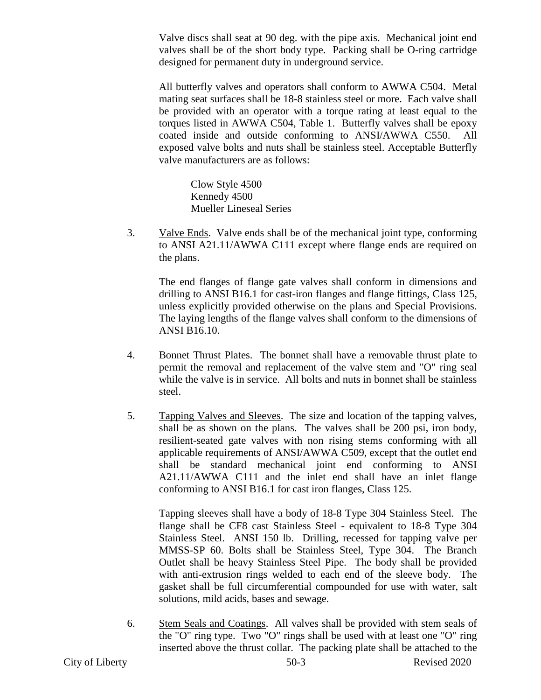Valve discs shall seat at 90 deg. with the pipe axis. Mechanical joint end valves shall be of the short body type. Packing shall be O-ring cartridge designed for permanent duty in underground service.

All butterfly valves and operators shall conform to AWWA C504. Metal mating seat surfaces shall be 18-8 stainless steel or more. Each valve shall be provided with an operator with a torque rating at least equal to the torques listed in AWWA C504, Table 1. Butterfly valves shall be epoxy coated inside and outside conforming to ANSI/AWWA C550. All exposed valve bolts and nuts shall be stainless steel. Acceptable Butterfly valve manufacturers are as follows:

Clow Style 4500 Kennedy 4500 Mueller Lineseal Series

3. Valve Ends. Valve ends shall be of the mechanical joint type, conforming to ANSI A21.11/AWWA C111 except where flange ends are required on the plans.

The end flanges of flange gate valves shall conform in dimensions and drilling to ANSI B16.1 for cast-iron flanges and flange fittings, Class 125, unless explicitly provided otherwise on the plans and Special Provisions. The laying lengths of the flange valves shall conform to the dimensions of ANSI B16.10.

- 4. Bonnet Thrust Plates. The bonnet shall have a removable thrust plate to permit the removal and replacement of the valve stem and "O" ring seal while the valve is in service. All bolts and nuts in bonnet shall be stainless steel.
- 5. Tapping Valves and Sleeves. The size and location of the tapping valves, shall be as shown on the plans. The valves shall be 200 psi, iron body, resilient-seated gate valves with non rising stems conforming with all applicable requirements of ANSI/AWWA C509, except that the outlet end shall be standard mechanical joint end conforming to ANSI A21.11/AWWA C111 and the inlet end shall have an inlet flange conforming to ANSI B16.1 for cast iron flanges, Class 125.

Tapping sleeves shall have a body of 18-8 Type 304 Stainless Steel. The flange shall be CF8 cast Stainless Steel - equivalent to 18-8 Type 304 Stainless Steel. ANSI 150 lb. Drilling, recessed for tapping valve per MMSS-SP 60. Bolts shall be Stainless Steel, Type 304. The Branch Outlet shall be heavy Stainless Steel Pipe. The body shall be provided with anti-extrusion rings welded to each end of the sleeve body. The gasket shall be full circumferential compounded for use with water, salt solutions, mild acids, bases and sewage.

6. Stem Seals and Coatings. All valves shall be provided with stem seals of the "O" ring type. Two "O" rings shall be used with at least one "O" ring inserted above the thrust collar. The packing plate shall be attached to the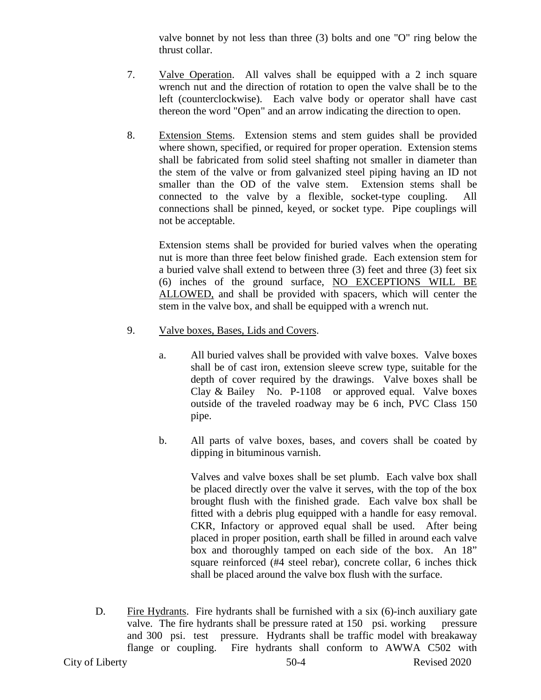valve bonnet by not less than three (3) bolts and one "O" ring below the thrust collar.

- 7. Valve Operation. All valves shall be equipped with a 2 inch square wrench nut and the direction of rotation to open the valve shall be to the left (counterclockwise). Each valve body or operator shall have cast thereon the word "Open" and an arrow indicating the direction to open.
- 8. Extension Stems. Extension stems and stem guides shall be provided where shown, specified, or required for proper operation. Extension stems shall be fabricated from solid steel shafting not smaller in diameter than the stem of the valve or from galvanized steel piping having an ID not smaller than the OD of the valve stem. Extension stems shall be connected to the valve by a flexible, socket-type coupling. All connections shall be pinned, keyed, or socket type. Pipe couplings will not be acceptable.

Extension stems shall be provided for buried valves when the operating nut is more than three feet below finished grade. Each extension stem for a buried valve shall extend to between three (3) feet and three (3) feet six (6) inches of the ground surface, NO EXCEPTIONS WILL BE ALLOWED, and shall be provided with spacers, which will center the stem in the valve box, and shall be equipped with a wrench nut.

- 9. Valve boxes, Bases, Lids and Covers.
	- a. All buried valves shall be provided with valve boxes. Valve boxes shall be of cast iron, extension sleeve screw type, suitable for the depth of cover required by the drawings. Valve boxes shall be Clay & Bailey No. P-1108 or approved equal. Valve boxes outside of the traveled roadway may be 6 inch, PVC Class 150 pipe.
	- b. All parts of valve boxes, bases, and covers shall be coated by dipping in bituminous varnish.

Valves and valve boxes shall be set plumb. Each valve box shall be placed directly over the valve it serves, with the top of the box brought flush with the finished grade. Each valve box shall be fitted with a debris plug equipped with a handle for easy removal. CKR, Infactory or approved equal shall be used. After being placed in proper position, earth shall be filled in around each valve box and thoroughly tamped on each side of the box. An 18" square reinforced (#4 steel rebar), concrete collar, 6 inches thick shall be placed around the valve box flush with the surface.

D. Fire Hydrants. Fire hydrants shall be furnished with a six (6)-inch auxiliary gate valve. The fire hydrants shall be pressure rated at 150 psi. working pressure and 300 psi. test pressure. Hydrants shall be traffic model with breakaway flange or coupling. Fire hydrants shall conform to AWWA C502 with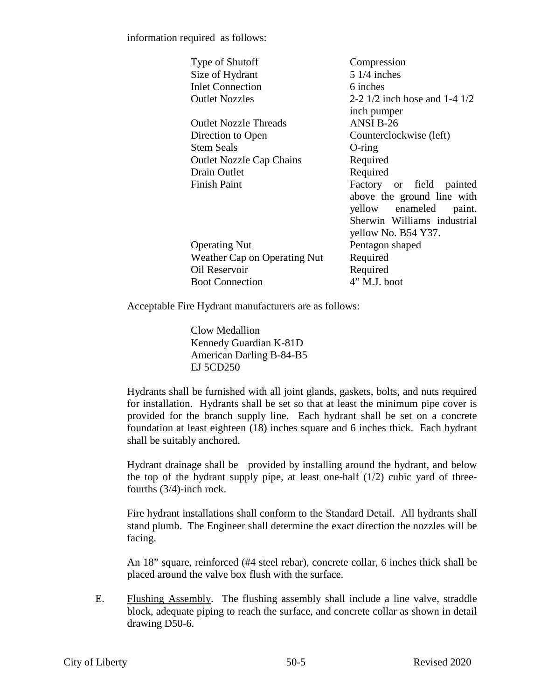information required as follows:

| Type of Shutoff                 | Compression                       |
|---------------------------------|-----------------------------------|
| Size of Hydrant                 | $51/4$ inches                     |
| <b>Inlet Connection</b>         | 6 inches                          |
| <b>Outlet Nozzles</b>           | 2-2 $1/2$ inch hose and 1-4 $1/2$ |
|                                 | inch pumper                       |
| <b>Outlet Nozzle Threads</b>    | ANSI B-26                         |
| Direction to Open               | Counterclockwise (left)           |
| <b>Stem Seals</b>               | $O$ -ring                         |
| <b>Outlet Nozzle Cap Chains</b> | Required                          |
| <b>Drain Outlet</b>             | Required                          |
| <b>Finish Paint</b>             | Factory or field painted          |
|                                 | above the ground line with        |
|                                 | yellow enameled paint.            |
|                                 | Sherwin Williams industrial       |
|                                 | yellow No. B54 Y37.               |
| <b>Operating Nut</b>            | Pentagon shaped                   |
| Weather Cap on Operating Nut    | Required                          |
| Oil Reservoir                   | Required                          |
| <b>Boot Connection</b>          | $4"$ M.J. boot                    |

Acceptable Fire Hydrant manufacturers are as follows:

Clow Medallion Kennedy Guardian K-81D American Darling B-84-B5 EJ 5CD250

Hydrants shall be furnished with all joint glands, gaskets, bolts, and nuts required for installation. Hydrants shall be set so that at least the minimum pipe cover is provided for the branch supply line. Each hydrant shall be set on a concrete foundation at least eighteen (18) inches square and 6 inches thick. Each hydrant shall be suitably anchored.

Hydrant drainage shall be provided by installing around the hydrant, and below the top of the hydrant supply pipe, at least one-half  $(1/2)$  cubic yard of threefourths (3/4)-inch rock.

Fire hydrant installations shall conform to the Standard Detail. All hydrants shall stand plumb. The Engineer shall determine the exact direction the nozzles will be facing.

An 18" square, reinforced (#4 steel rebar), concrete collar, 6 inches thick shall be placed around the valve box flush with the surface.

E. Flushing Assembly. The flushing assembly shall include a line valve, straddle block, adequate piping to reach the surface, and concrete collar as shown in detail drawing D50-6.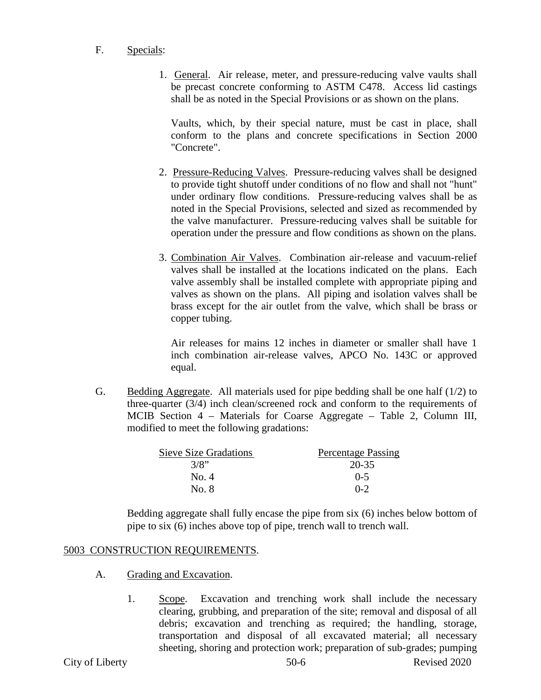### F. Specials:

1. General. Air release, meter, and pressure-reducing valve vaults shall be precast concrete conforming to ASTM C478. Access lid castings shall be as noted in the Special Provisions or as shown on the plans.

Vaults, which, by their special nature, must be cast in place, shall conform to the plans and concrete specifications in Section 2000 "Concrete".

- 2. Pressure-Reducing Valves. Pressure-reducing valves shall be designed to provide tight shutoff under conditions of no flow and shall not "hunt" under ordinary flow conditions. Pressure-reducing valves shall be as noted in the Special Provisions, selected and sized as recommended by the valve manufacturer. Pressure-reducing valves shall be suitable for operation under the pressure and flow conditions as shown on the plans.
- 3. Combination Air Valves. Combination air-release and vacuum-relief valves shall be installed at the locations indicated on the plans. Each valve assembly shall be installed complete with appropriate piping and valves as shown on the plans. All piping and isolation valves shall be brass except for the air outlet from the valve, which shall be brass or copper tubing.

Air releases for mains 12 inches in diameter or smaller shall have 1 inch combination air-release valves, APCO No. 143C or approved equal.

G. Bedding Aggregate. All materials used for pipe bedding shall be one half (1/2) to three-quarter (3/4) inch clean/screened rock and conform to the requirements of MCIB Section 4 – Materials for Coarse Aggregate – Table 2, Column III, modified to meet the following gradations:

| <b>Sieve Size Gradations</b> | <b>Percentage Passing</b> |
|------------------------------|---------------------------|
| 3/8"                         | 20-35                     |
| No. 4                        | $0 - 5$                   |
| No. 8                        | $0 - 2$                   |

Bedding aggregate shall fully encase the pipe from six (6) inches below bottom of pipe to six (6) inches above top of pipe, trench wall to trench wall.

# 5003 CONSTRUCTION REQUIREMENTS.

- A. Grading and Excavation.
	- 1. Scope. Excavation and trenching work shall include the necessary clearing, grubbing, and preparation of the site; removal and disposal of all debris; excavation and trenching as required; the handling, storage, transportation and disposal of all excavated material; all necessary sheeting, shoring and protection work; preparation of sub-grades; pumping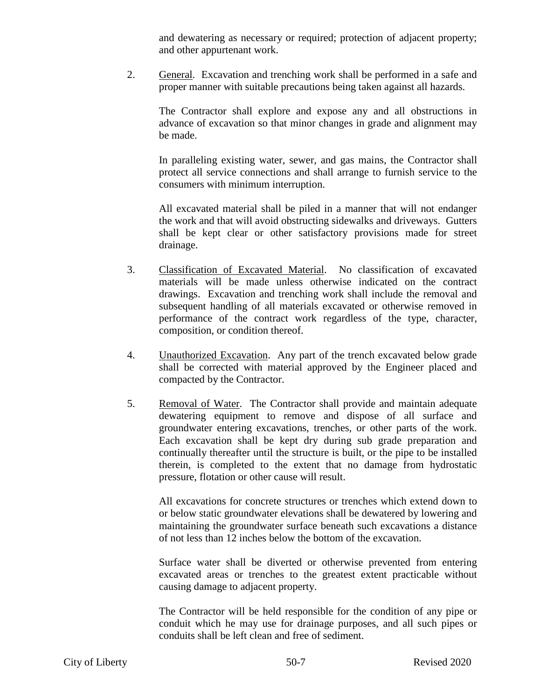and dewatering as necessary or required; protection of adjacent property; and other appurtenant work.

2. General. Excavation and trenching work shall be performed in a safe and proper manner with suitable precautions being taken against all hazards.

The Contractor shall explore and expose any and all obstructions in advance of excavation so that minor changes in grade and alignment may be made.

In paralleling existing water, sewer, and gas mains, the Contractor shall protect all service connections and shall arrange to furnish service to the consumers with minimum interruption.

All excavated material shall be piled in a manner that will not endanger the work and that will avoid obstructing sidewalks and driveways. Gutters shall be kept clear or other satisfactory provisions made for street drainage.

- 3. Classification of Excavated Material. No classification of excavated materials will be made unless otherwise indicated on the contract drawings. Excavation and trenching work shall include the removal and subsequent handling of all materials excavated or otherwise removed in performance of the contract work regardless of the type, character, composition, or condition thereof.
- 4. Unauthorized Excavation. Any part of the trench excavated below grade shall be corrected with material approved by the Engineer placed and compacted by the Contractor.
- 5. Removal of Water. The Contractor shall provide and maintain adequate dewatering equipment to remove and dispose of all surface and groundwater entering excavations, trenches, or other parts of the work. Each excavation shall be kept dry during sub grade preparation and continually thereafter until the structure is built, or the pipe to be installed therein, is completed to the extent that no damage from hydrostatic pressure, flotation or other cause will result.

All excavations for concrete structures or trenches which extend down to or below static groundwater elevations shall be dewatered by lowering and maintaining the groundwater surface beneath such excavations a distance of not less than 12 inches below the bottom of the excavation.

Surface water shall be diverted or otherwise prevented from entering excavated areas or trenches to the greatest extent practicable without causing damage to adjacent property.

The Contractor will be held responsible for the condition of any pipe or conduit which he may use for drainage purposes, and all such pipes or conduits shall be left clean and free of sediment.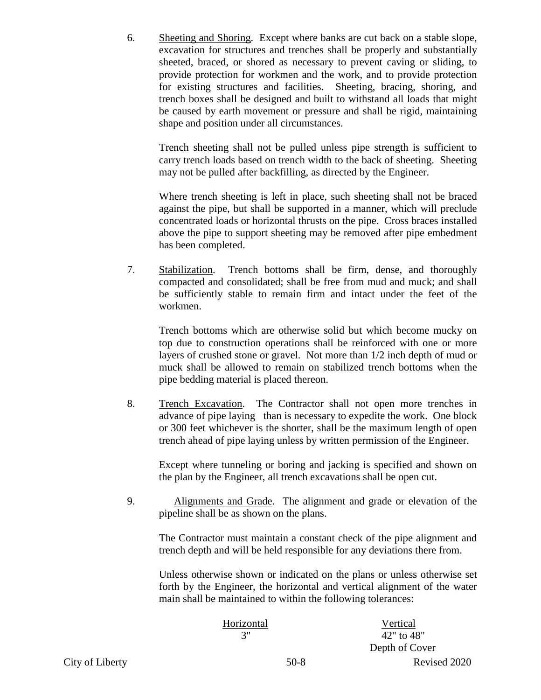6. Sheeting and Shoring. Except where banks are cut back on a stable slope, excavation for structures and trenches shall be properly and substantially sheeted, braced, or shored as necessary to prevent caving or sliding, to provide protection for workmen and the work, and to provide protection for existing structures and facilities. Sheeting, bracing, shoring, and trench boxes shall be designed and built to withstand all loads that might be caused by earth movement or pressure and shall be rigid, maintaining shape and position under all circumstances.

Trench sheeting shall not be pulled unless pipe strength is sufficient to carry trench loads based on trench width to the back of sheeting. Sheeting may not be pulled after backfilling, as directed by the Engineer.

Where trench sheeting is left in place, such sheeting shall not be braced against the pipe, but shall be supported in a manner, which will preclude concentrated loads or horizontal thrusts on the pipe. Cross braces installed above the pipe to support sheeting may be removed after pipe embedment has been completed.

7. Stabilization. Trench bottoms shall be firm, dense, and thoroughly compacted and consolidated; shall be free from mud and muck; and shall be sufficiently stable to remain firm and intact under the feet of the workmen.

Trench bottoms which are otherwise solid but which become mucky on top due to construction operations shall be reinforced with one or more layers of crushed stone or gravel. Not more than 1/2 inch depth of mud or muck shall be allowed to remain on stabilized trench bottoms when the pipe bedding material is placed thereon.

8. Trench Excavation. The Contractor shall not open more trenches in advance of pipe laying than is necessary to expedite the work. One block or 300 feet whichever is the shorter, shall be the maximum length of open trench ahead of pipe laying unless by written permission of the Engineer.

Except where tunneling or boring and jacking is specified and shown on the plan by the Engineer, all trench excavations shall be open cut.

9. Alignments and Grade. The alignment and grade or elevation of the pipeline shall be as shown on the plans.

The Contractor must maintain a constant check of the pipe alignment and trench depth and will be held responsible for any deviations there from.

Unless otherwise shown or indicated on the plans or unless otherwise set forth by the Engineer, the horizontal and vertical alignment of the water main shall be maintained to within the following tolerances:

|    | Horizontal | Vertical       |  |  |  |
|----|------------|----------------|--|--|--|
|    | 3"         | 42" to 48"     |  |  |  |
|    |            | Depth of Cover |  |  |  |
| ty | $50-8$     | Revised 2020   |  |  |  |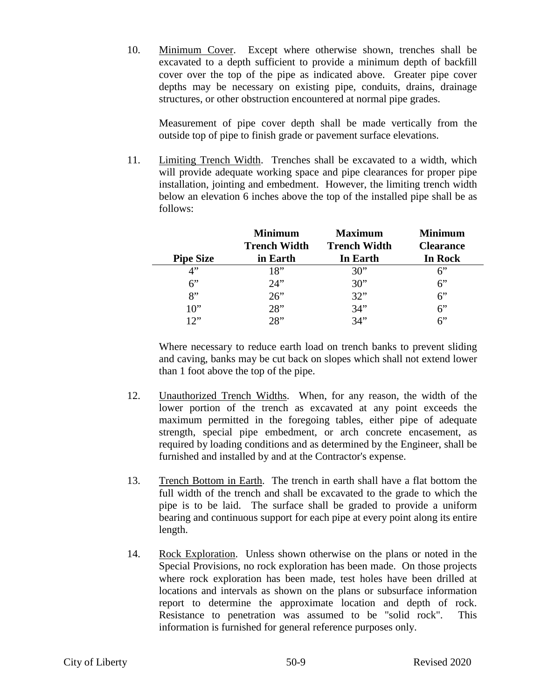10. Minimum Cover. Except where otherwise shown, trenches shall be excavated to a depth sufficient to provide a minimum depth of backfill cover over the top of the pipe as indicated above. Greater pipe cover depths may be necessary on existing pipe, conduits, drains, drainage structures, or other obstruction encountered at normal pipe grades.

Measurement of pipe cover depth shall be made vertically from the outside top of pipe to finish grade or pavement surface elevations.

11. Limiting Trench Width. Trenches shall be excavated to a width, which will provide adequate working space and pipe clearances for proper pipe installation, jointing and embedment. However, the limiting trench width below an elevation 6 inches above the top of the installed pipe shall be as follows:

|                  | <b>Minimum</b><br><b>Trench Width</b> | <b>Maximum</b><br><b>Trench Width</b> | <b>Minimum</b><br><b>Clearance</b> |  |  |  |
|------------------|---------------------------------------|---------------------------------------|------------------------------------|--|--|--|
| <b>Pipe Size</b> | in Earth                              | In Earth                              | In Rock                            |  |  |  |
| 4"               | 18"                                   | 30"                                   | 6"                                 |  |  |  |
| $6$ "            | 24"                                   | 30"                                   | 6"                                 |  |  |  |
| 8"               | 26"                                   | 32"                                   | 6"                                 |  |  |  |
| $10$ "           | 28"                                   | 34"                                   | 6"                                 |  |  |  |
| 17"              | 28                                    | 34"                                   | 6"                                 |  |  |  |

Where necessary to reduce earth load on trench banks to prevent sliding and caving, banks may be cut back on slopes which shall not extend lower than 1 foot above the top of the pipe.

- 12. Unauthorized Trench Widths. When, for any reason, the width of the lower portion of the trench as excavated at any point exceeds the maximum permitted in the foregoing tables, either pipe of adequate strength, special pipe embedment, or arch concrete encasement, as required by loading conditions and as determined by the Engineer, shall be furnished and installed by and at the Contractor's expense.
- 13. Trench Bottom in Earth. The trench in earth shall have a flat bottom the full width of the trench and shall be excavated to the grade to which the pipe is to be laid. The surface shall be graded to provide a uniform bearing and continuous support for each pipe at every point along its entire length.
- 14. Rock Exploration. Unless shown otherwise on the plans or noted in the Special Provisions, no rock exploration has been made. On those projects where rock exploration has been made, test holes have been drilled at locations and intervals as shown on the plans or subsurface information report to determine the approximate location and depth of rock. Resistance to penetration was assumed to be "solid rock". This information is furnished for general reference purposes only.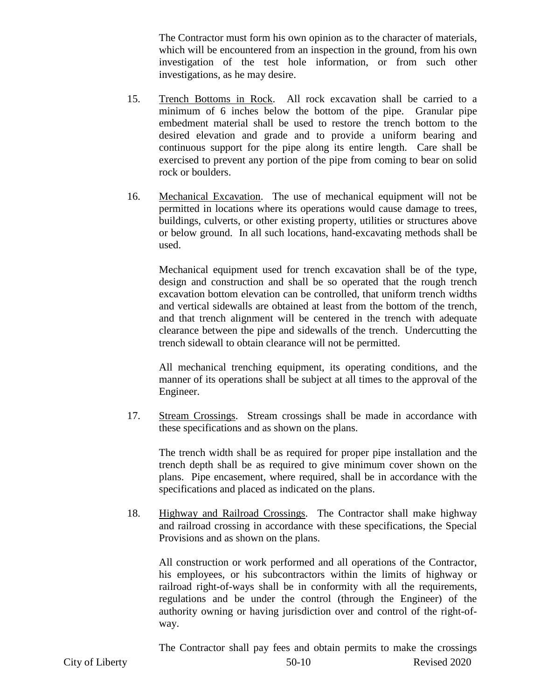The Contractor must form his own opinion as to the character of materials, which will be encountered from an inspection in the ground, from his own investigation of the test hole information, or from such other investigations, as he may desire.

- 15. Trench Bottoms in Rock. All rock excavation shall be carried to a minimum of 6 inches below the bottom of the pipe. Granular pipe embedment material shall be used to restore the trench bottom to the desired elevation and grade and to provide a uniform bearing and continuous support for the pipe along its entire length. Care shall be exercised to prevent any portion of the pipe from coming to bear on solid rock or boulders.
- 16. Mechanical Excavation. The use of mechanical equipment will not be permitted in locations where its operations would cause damage to trees, buildings, culverts, or other existing property, utilities or structures above or below ground. In all such locations, hand-excavating methods shall be used.

Mechanical equipment used for trench excavation shall be of the type, design and construction and shall be so operated that the rough trench excavation bottom elevation can be controlled, that uniform trench widths and vertical sidewalls are obtained at least from the bottom of the trench, and that trench alignment will be centered in the trench with adequate clearance between the pipe and sidewalls of the trench. Undercutting the trench sidewall to obtain clearance will not be permitted.

All mechanical trenching equipment, its operating conditions, and the manner of its operations shall be subject at all times to the approval of the Engineer.

17. Stream Crossings. Stream crossings shall be made in accordance with these specifications and as shown on the plans.

The trench width shall be as required for proper pipe installation and the trench depth shall be as required to give minimum cover shown on the plans. Pipe encasement, where required, shall be in accordance with the specifications and placed as indicated on the plans.

18. Highway and Railroad Crossings. The Contractor shall make highway and railroad crossing in accordance with these specifications, the Special Provisions and as shown on the plans.

All construction or work performed and all operations of the Contractor, his employees, or his subcontractors within the limits of highway or railroad right-of-ways shall be in conformity with all the requirements, regulations and be under the control (through the Engineer) of the authority owning or having jurisdiction over and control of the right-ofway.

The Contractor shall pay fees and obtain permits to make the crossings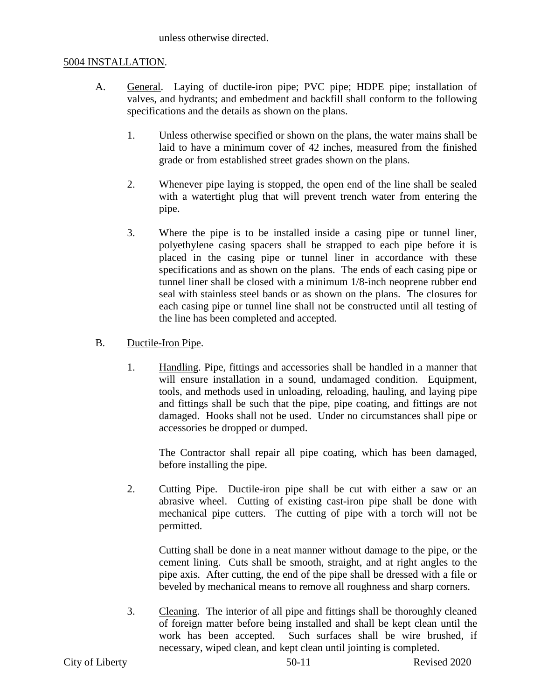unless otherwise directed.

### 5004 INSTALLATION.

- A. General. Laying of ductile-iron pipe; PVC pipe; HDPE pipe; installation of valves, and hydrants; and embedment and backfill shall conform to the following specifications and the details as shown on the plans.
	- 1. Unless otherwise specified or shown on the plans, the water mains shall be laid to have a minimum cover of 42 inches, measured from the finished grade or from established street grades shown on the plans.
	- 2. Whenever pipe laying is stopped, the open end of the line shall be sealed with a watertight plug that will prevent trench water from entering the pipe.
	- 3. Where the pipe is to be installed inside a casing pipe or tunnel liner, polyethylene casing spacers shall be strapped to each pipe before it is placed in the casing pipe or tunnel liner in accordance with these specifications and as shown on the plans. The ends of each casing pipe or tunnel liner shall be closed with a minimum 1/8-inch neoprene rubber end seal with stainless steel bands or as shown on the plans. The closures for each casing pipe or tunnel line shall not be constructed until all testing of the line has been completed and accepted.
- B. Ductile-Iron Pipe.
	- 1. Handling. Pipe, fittings and accessories shall be handled in a manner that will ensure installation in a sound, undamaged condition. Equipment, tools, and methods used in unloading, reloading, hauling, and laying pipe and fittings shall be such that the pipe, pipe coating, and fittings are not damaged. Hooks shall not be used. Under no circumstances shall pipe or accessories be dropped or dumped.

The Contractor shall repair all pipe coating, which has been damaged, before installing the pipe.

2. Cutting Pipe. Ductile-iron pipe shall be cut with either a saw or an abrasive wheel. Cutting of existing cast-iron pipe shall be done with mechanical pipe cutters. The cutting of pipe with a torch will not be permitted.

Cutting shall be done in a neat manner without damage to the pipe, or the cement lining. Cuts shall be smooth, straight, and at right angles to the pipe axis. After cutting, the end of the pipe shall be dressed with a file or beveled by mechanical means to remove all roughness and sharp corners.

3. Cleaning. The interior of all pipe and fittings shall be thoroughly cleaned of foreign matter before being installed and shall be kept clean until the work has been accepted. Such surfaces shall be wire brushed, if necessary, wiped clean, and kept clean until jointing is completed.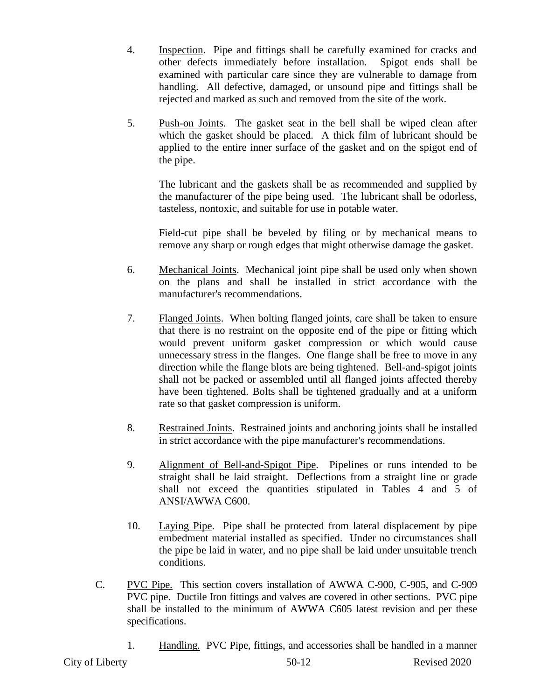- 4. Inspection. Pipe and fittings shall be carefully examined for cracks and other defects immediately before installation. Spigot ends shall be examined with particular care since they are vulnerable to damage from handling. All defective, damaged, or unsound pipe and fittings shall be rejected and marked as such and removed from the site of the work.
- 5. Push-on Joints. The gasket seat in the bell shall be wiped clean after which the gasket should be placed. A thick film of lubricant should be applied to the entire inner surface of the gasket and on the spigot end of the pipe.

The lubricant and the gaskets shall be as recommended and supplied by the manufacturer of the pipe being used. The lubricant shall be odorless, tasteless, nontoxic, and suitable for use in potable water.

Field-cut pipe shall be beveled by filing or by mechanical means to remove any sharp or rough edges that might otherwise damage the gasket.

- 6. Mechanical Joints. Mechanical joint pipe shall be used only when shown on the plans and shall be installed in strict accordance with the manufacturer's recommendations.
- 7. Flanged Joints. When bolting flanged joints, care shall be taken to ensure that there is no restraint on the opposite end of the pipe or fitting which would prevent uniform gasket compression or which would cause unnecessary stress in the flanges. One flange shall be free to move in any direction while the flange blots are being tightened. Bell-and-spigot joints shall not be packed or assembled until all flanged joints affected thereby have been tightened. Bolts shall be tightened gradually and at a uniform rate so that gasket compression is uniform.
- 8. Restrained Joints. Restrained joints and anchoring joints shall be installed in strict accordance with the pipe manufacturer's recommendations.
- 9. Alignment of Bell-and-Spigot Pipe. Pipelines or runs intended to be straight shall be laid straight. Deflections from a straight line or grade shall not exceed the quantities stipulated in Tables 4 and 5 of ANSI/AWWA C600.
- 10. Laying Pipe. Pipe shall be protected from lateral displacement by pipe embedment material installed as specified. Under no circumstances shall the pipe be laid in water, and no pipe shall be laid under unsuitable trench conditions.
- C. PVC Pipe. This section covers installation of AWWA C-900, C-905, and C-909 PVC pipe. Ductile Iron fittings and valves are covered in other sections. PVC pipe shall be installed to the minimum of AWWA C605 latest revision and per these specifications.
	- 1. Handling. PVC Pipe, fittings, and accessories shall be handled in a manner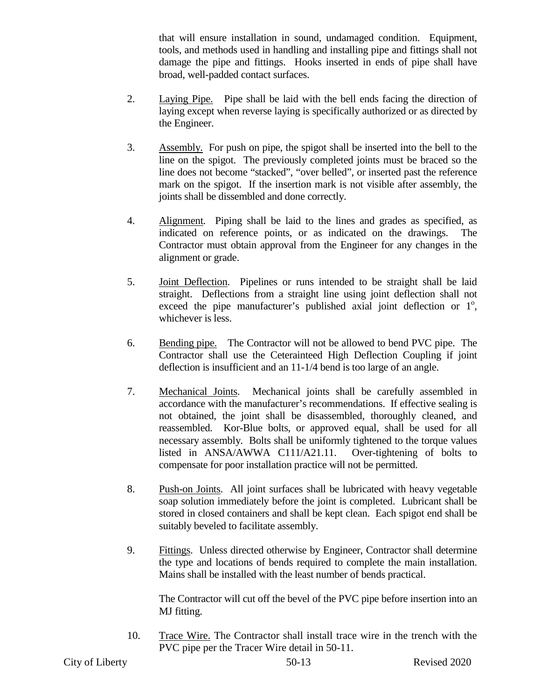that will ensure installation in sound, undamaged condition. Equipment, tools, and methods used in handling and installing pipe and fittings shall not damage the pipe and fittings. Hooks inserted in ends of pipe shall have broad, well-padded contact surfaces.

- 2. Laying Pipe. Pipe shall be laid with the bell ends facing the direction of laying except when reverse laying is specifically authorized or as directed by the Engineer.
- 3. Assembly. For push on pipe, the spigot shall be inserted into the bell to the line on the spigot. The previously completed joints must be braced so the line does not become "stacked", "over belled", or inserted past the reference mark on the spigot. If the insertion mark is not visible after assembly, the joints shall be dissembled and done correctly.
- 4. Alignment. Piping shall be laid to the lines and grades as specified, as indicated on reference points, or as indicated on the drawings. The Contractor must obtain approval from the Engineer for any changes in the alignment or grade.
- 5. Joint Deflection. Pipelines or runs intended to be straight shall be laid straight. Deflections from a straight line using joint deflection shall not exceed the pipe manufacturer's published axial joint deflection or  $1^\circ$ , whichever is less.
- 6. Bending pipe. The Contractor will not be allowed to bend PVC pipe. The Contractor shall use the Ceterainteed High Deflection Coupling if joint deflection is insufficient and an 11-1/4 bend is too large of an angle.
- 7. Mechanical Joints. Mechanical joints shall be carefully assembled in accordance with the manufacturer's recommendations. If effective sealing is not obtained, the joint shall be disassembled, thoroughly cleaned, and reassembled. Kor-Blue bolts, or approved equal, shall be used for all necessary assembly. Bolts shall be uniformly tightened to the torque values listed in ANSA/AWWA C111/A21.11. Over-tightening of bolts to compensate for poor installation practice will not be permitted.
- 8. Push-on Joints. All joint surfaces shall be lubricated with heavy vegetable soap solution immediately before the joint is completed. Lubricant shall be stored in closed containers and shall be kept clean. Each spigot end shall be suitably beveled to facilitate assembly.
- 9. Fittings. Unless directed otherwise by Engineer, Contractor shall determine the type and locations of bends required to complete the main installation. Mains shall be installed with the least number of bends practical.

The Contractor will cut off the bevel of the PVC pipe before insertion into an MJ fitting.

10. Trace Wire. The Contractor shall install trace wire in the trench with the PVC pipe per the Tracer Wire detail in 50-11.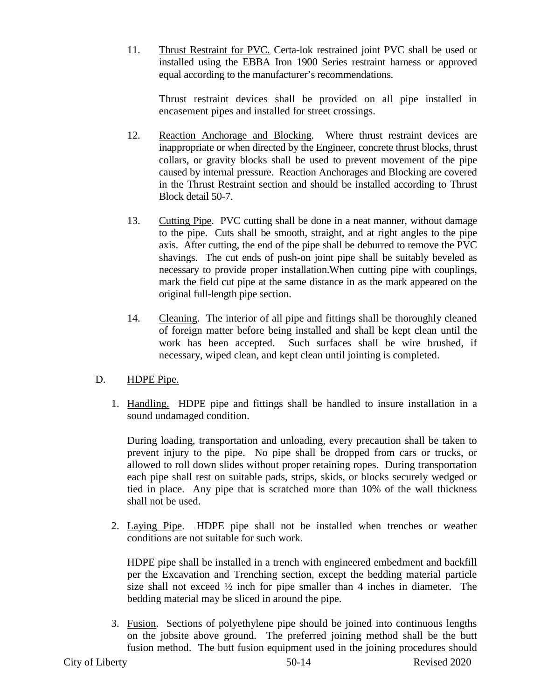11. Thrust Restraint for PVC. Certa-lok restrained joint PVC shall be used or installed using the EBBA Iron 1900 Series restraint harness or approved equal according to the manufacturer's recommendations.

Thrust restraint devices shall be provided on all pipe installed in encasement pipes and installed for street crossings.

- 12. Reaction Anchorage and Blocking. Where thrust restraint devices are inappropriate or when directed by the Engineer, concrete thrust blocks, thrust collars, or gravity blocks shall be used to prevent movement of the pipe caused by internal pressure. Reaction Anchorages and Blocking are covered in the Thrust Restraint section and should be installed according to Thrust Block detail 50-7.
- 13. Cutting Pipe. PVC cutting shall be done in a neat manner, without damage to the pipe. Cuts shall be smooth, straight, and at right angles to the pipe axis. After cutting, the end of the pipe shall be deburred to remove the PVC shavings. The cut ends of push-on joint pipe shall be suitably beveled as necessary to provide proper installation.When cutting pipe with couplings, mark the field cut pipe at the same distance in as the mark appeared on the original full-length pipe section.
- 14. Cleaning. The interior of all pipe and fittings shall be thoroughly cleaned of foreign matter before being installed and shall be kept clean until the work has been accepted. Such surfaces shall be wire brushed, if necessary, wiped clean, and kept clean until jointing is completed.

# D. HDPE Pipe.

1. Handling. HDPE pipe and fittings shall be handled to insure installation in a sound undamaged condition.

During loading, transportation and unloading, every precaution shall be taken to prevent injury to the pipe. No pipe shall be dropped from cars or trucks, or allowed to roll down slides without proper retaining ropes. During transportation each pipe shall rest on suitable pads, strips, skids, or blocks securely wedged or tied in place. Any pipe that is scratched more than 10% of the wall thickness shall not be used.

2. Laying Pipe. HDPE pipe shall not be installed when trenches or weather conditions are not suitable for such work.

HDPE pipe shall be installed in a trench with engineered embedment and backfill per the Excavation and Trenching section, except the bedding material particle size shall not exceed  $\frac{1}{2}$  inch for pipe smaller than 4 inches in diameter. The bedding material may be sliced in around the pipe.

3. Fusion. Sections of polyethylene pipe should be joined into continuous lengths on the jobsite above ground. The preferred joining method shall be the butt fusion method. The butt fusion equipment used in the joining procedures should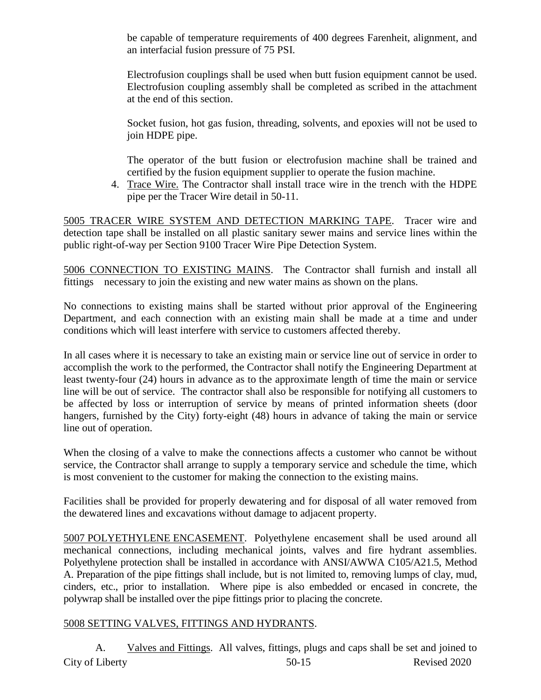be capable of temperature requirements of 400 degrees Farenheit, alignment, and an interfacial fusion pressure of 75 PSI.

Electrofusion couplings shall be used when butt fusion equipment cannot be used. Electrofusion coupling assembly shall be completed as scribed in the attachment at the end of this section.

Socket fusion, hot gas fusion, threading, solvents, and epoxies will not be used to join HDPE pipe.

The operator of the butt fusion or electrofusion machine shall be trained and certified by the fusion equipment supplier to operate the fusion machine.

4. Trace Wire. The Contractor shall install trace wire in the trench with the HDPE pipe per the Tracer Wire detail in 50-11.

5005 TRACER WIRE SYSTEM AND DETECTION MARKING TAPE. Tracer wire and detection tape shall be installed on all plastic sanitary sewer mains and service lines within the public right-of-way per Section 9100 Tracer Wire Pipe Detection System.

5006 CONNECTION TO EXISTING MAINS. The Contractor shall furnish and install all fittings necessary to join the existing and new water mains as shown on the plans.

No connections to existing mains shall be started without prior approval of the Engineering Department, and each connection with an existing main shall be made at a time and under conditions which will least interfere with service to customers affected thereby.

In all cases where it is necessary to take an existing main or service line out of service in order to accomplish the work to the performed, the Contractor shall notify the Engineering Department at least twenty-four (24) hours in advance as to the approximate length of time the main or service line will be out of service. The contractor shall also be responsible for notifying all customers to be affected by loss or interruption of service by means of printed information sheets (door hangers, furnished by the City) forty-eight (48) hours in advance of taking the main or service line out of operation.

When the closing of a valve to make the connections affects a customer who cannot be without service, the Contractor shall arrange to supply a temporary service and schedule the time, which is most convenient to the customer for making the connection to the existing mains.

Facilities shall be provided for properly dewatering and for disposal of all water removed from the dewatered lines and excavations without damage to adjacent property.

5007 POLYETHYLENE ENCASEMENT. Polyethylene encasement shall be used around all mechanical connections, including mechanical joints, valves and fire hydrant assemblies. Polyethylene protection shall be installed in accordance with ANSI/AWWA C105/A21.5, Method A. Preparation of the pipe fittings shall include, but is not limited to, removing lumps of clay, mud, cinders, etc., prior to installation. Where pipe is also embedded or encased in concrete, the polywrap shall be installed over the pipe fittings prior to placing the concrete.

# 5008 SETTING VALVES, FITTINGS AND HYDRANTS.

City of Liberty 50-15 Revised 2020 A. Valves and Fittings. All valves, fittings, plugs and caps shall be set and joined to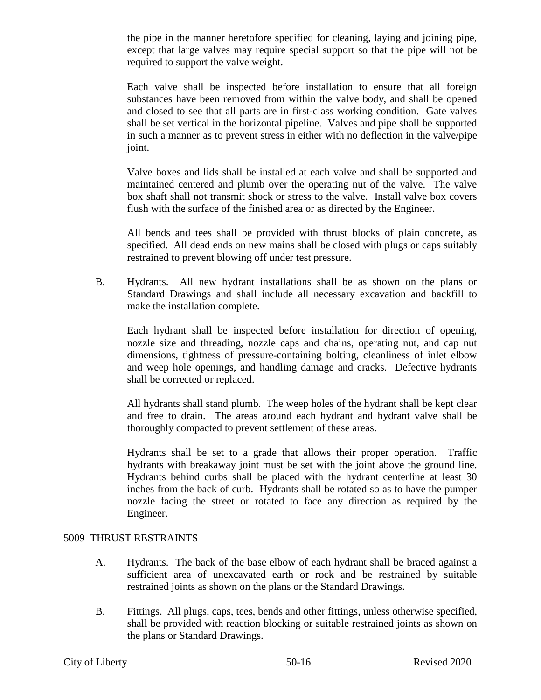the pipe in the manner heretofore specified for cleaning, laying and joining pipe, except that large valves may require special support so that the pipe will not be required to support the valve weight.

Each valve shall be inspected before installation to ensure that all foreign substances have been removed from within the valve body, and shall be opened and closed to see that all parts are in first-class working condition. Gate valves shall be set vertical in the horizontal pipeline. Valves and pipe shall be supported in such a manner as to prevent stress in either with no deflection in the valve/pipe joint.

Valve boxes and lids shall be installed at each valve and shall be supported and maintained centered and plumb over the operating nut of the valve. The valve box shaft shall not transmit shock or stress to the valve. Install valve box covers flush with the surface of the finished area or as directed by the Engineer.

All bends and tees shall be provided with thrust blocks of plain concrete, as specified. All dead ends on new mains shall be closed with plugs or caps suitably restrained to prevent blowing off under test pressure.

B. Hydrants. All new hydrant installations shall be as shown on the plans or Standard Drawings and shall include all necessary excavation and backfill to make the installation complete.

Each hydrant shall be inspected before installation for direction of opening, nozzle size and threading, nozzle caps and chains, operating nut, and cap nut dimensions, tightness of pressure-containing bolting, cleanliness of inlet elbow and weep hole openings, and handling damage and cracks. Defective hydrants shall be corrected or replaced.

All hydrants shall stand plumb. The weep holes of the hydrant shall be kept clear and free to drain. The areas around each hydrant and hydrant valve shall be thoroughly compacted to prevent settlement of these areas.

Hydrants shall be set to a grade that allows their proper operation. Traffic hydrants with breakaway joint must be set with the joint above the ground line. Hydrants behind curbs shall be placed with the hydrant centerline at least 30 inches from the back of curb. Hydrants shall be rotated so as to have the pumper nozzle facing the street or rotated to face any direction as required by the Engineer.

### 5009 THRUST RESTRAINTS

- A. Hydrants. The back of the base elbow of each hydrant shall be braced against a sufficient area of unexcavated earth or rock and be restrained by suitable restrained joints as shown on the plans or the Standard Drawings.
- B. Fittings. All plugs, caps, tees, bends and other fittings, unless otherwise specified, shall be provided with reaction blocking or suitable restrained joints as shown on the plans or Standard Drawings.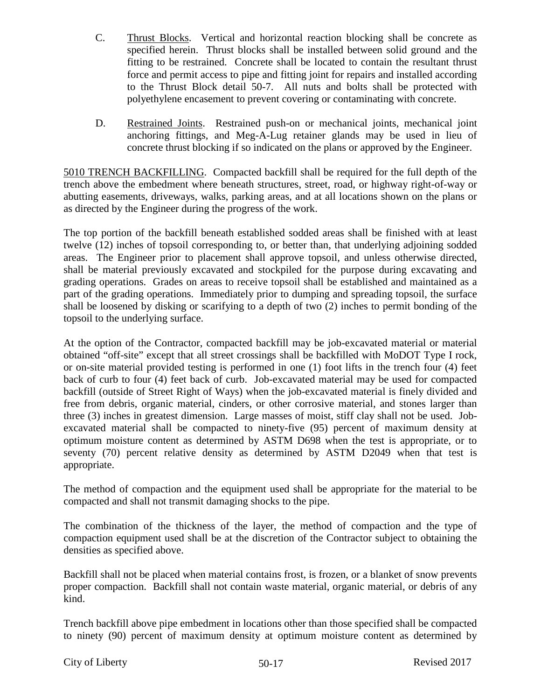- C. Thrust Blocks. Vertical and horizontal reaction blocking shall be concrete as specified herein. Thrust blocks shall be installed between solid ground and the fitting to be restrained. Concrete shall be located to contain the resultant thrust force and permit access to pipe and fitting joint for repairs and installed according to the Thrust Block detail 50-7. All nuts and bolts shall be protected with polyethylene encasement to prevent covering or contaminating with concrete.
- D. Restrained Joints. Restrained push-on or mechanical joints, mechanical joint anchoring fittings, and Meg-A-Lug retainer glands may be used in lieu of concrete thrust blocking if so indicated on the plans or approved by the Engineer.

5010 TRENCH BACKFILLING. Compacted backfill shall be required for the full depth of the trench above the embedment where beneath structures, street, road, or highway right-of-way or abutting easements, driveways, walks, parking areas, and at all locations shown on the plans or as directed by the Engineer during the progress of the work.

The top portion of the backfill beneath established sodded areas shall be finished with at least twelve (12) inches of topsoil corresponding to, or better than, that underlying adjoining sodded areas. The Engineer prior to placement shall approve topsoil, and unless otherwise directed, shall be material previously excavated and stockpiled for the purpose during excavating and grading operations. Grades on areas to receive topsoil shall be established and maintained as a part of the grading operations. Immediately prior to dumping and spreading topsoil, the surface shall be loosened by disking or scarifying to a depth of two (2) inches to permit bonding of the topsoil to the underlying surface.

At the option of the Contractor, compacted backfill may be job-excavated material or material obtained "off-site" except that all street crossings shall be backfilled with MoDOT Type I rock, or on-site material provided testing is performed in one (1) foot lifts in the trench four (4) feet back of curb to four (4) feet back of curb. Job-excavated material may be used for compacted backfill (outside of Street Right of Ways) when the job-excavated material is finely divided and free from debris, organic material, cinders, or other corrosive material, and stones larger than three (3) inches in greatest dimension. Large masses of moist, stiff clay shall not be used. Jobexcavated material shall be compacted to ninety-five (95) percent of maximum density at optimum moisture content as determined by ASTM D698 when the test is appropriate, or to seventy (70) percent relative density as determined by ASTM D2049 when that test is appropriate.

The method of compaction and the equipment used shall be appropriate for the material to be compacted and shall not transmit damaging shocks to the pipe.

The combination of the thickness of the layer, the method of compaction and the type of compaction equipment used shall be at the discretion of the Contractor subject to obtaining the densities as specified above.

Backfill shall not be placed when material contains frost, is frozen, or a blanket of snow prevents proper compaction. Backfill shall not contain waste material, organic material, or debris of any kind.

Trench backfill above pipe embedment in locations other than those specified shall be compacted to ninety (90) percent of maximum density at optimum moisture content as determined by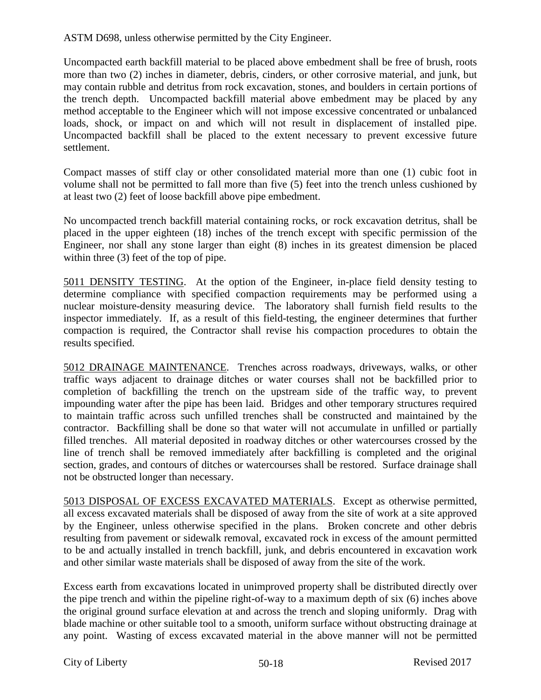ASTM D698, unless otherwise permitted by the City Engineer.

Uncompacted earth backfill material to be placed above embedment shall be free of brush, roots more than two (2) inches in diameter, debris, cinders, or other corrosive material, and junk, but may contain rubble and detritus from rock excavation, stones, and boulders in certain portions of the trench depth. Uncompacted backfill material above embedment may be placed by any method acceptable to the Engineer which will not impose excessive concentrated or unbalanced loads, shock, or impact on and which will not result in displacement of installed pipe. Uncompacted backfill shall be placed to the extent necessary to prevent excessive future settlement.

Compact masses of stiff clay or other consolidated material more than one (1) cubic foot in volume shall not be permitted to fall more than five (5) feet into the trench unless cushioned by at least two (2) feet of loose backfill above pipe embedment.

No uncompacted trench backfill material containing rocks, or rock excavation detritus, shall be placed in the upper eighteen (18) inches of the trench except with specific permission of the Engineer, nor shall any stone larger than eight (8) inches in its greatest dimension be placed within three  $(3)$  feet of the top of pipe.

5011 DENSITY TESTING. At the option of the Engineer, in-place field density testing to determine compliance with specified compaction requirements may be performed using a nuclear moisture-density measuring device. The laboratory shall furnish field results to the inspector immediately. If, as a result of this field-testing, the engineer determines that further compaction is required, the Contractor shall revise his compaction procedures to obtain the results specified.

5012 DRAINAGE MAINTENANCE. Trenches across roadways, driveways, walks, or other traffic ways adjacent to drainage ditches or water courses shall not be backfilled prior to completion of backfilling the trench on the upstream side of the traffic way, to prevent impounding water after the pipe has been laid. Bridges and other temporary structures required to maintain traffic across such unfilled trenches shall be constructed and maintained by the contractor. Backfilling shall be done so that water will not accumulate in unfilled or partially filled trenches. All material deposited in roadway ditches or other watercourses crossed by the line of trench shall be removed immediately after backfilling is completed and the original section, grades, and contours of ditches or watercourses shall be restored. Surface drainage shall not be obstructed longer than necessary.

5013 DISPOSAL OF EXCESS EXCAVATED MATERIALS. Except as otherwise permitted, all excess excavated materials shall be disposed of away from the site of work at a site approved by the Engineer, unless otherwise specified in the plans. Broken concrete and other debris resulting from pavement or sidewalk removal, excavated rock in excess of the amount permitted to be and actually installed in trench backfill, junk, and debris encountered in excavation work and other similar waste materials shall be disposed of away from the site of the work.

Excess earth from excavations located in unimproved property shall be distributed directly over the pipe trench and within the pipeline right-of-way to a maximum depth of six (6) inches above the original ground surface elevation at and across the trench and sloping uniformly. Drag with blade machine or other suitable tool to a smooth, uniform surface without obstructing drainage at any point. Wasting of excess excavated material in the above manner will not be permitted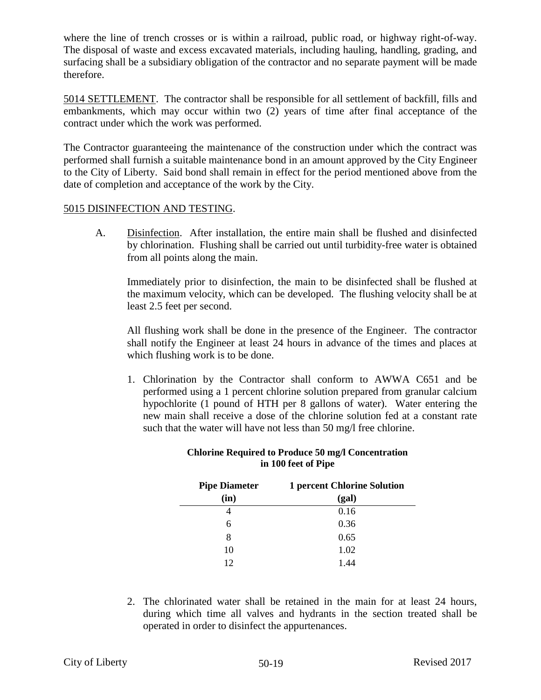where the line of trench crosses or is within a railroad, public road, or highway right-of-way. The disposal of waste and excess excavated materials, including hauling, handling, grading, and surfacing shall be a subsidiary obligation of the contractor and no separate payment will be made therefore.

5014 SETTLEMENT. The contractor shall be responsible for all settlement of backfill, fills and embankments, which may occur within two (2) years of time after final acceptance of the contract under which the work was performed.

The Contractor guaranteeing the maintenance of the construction under which the contract was performed shall furnish a suitable maintenance bond in an amount approved by the City Engineer to the City of Liberty. Said bond shall remain in effect for the period mentioned above from the date of completion and acceptance of the work by the City.

### 5015 DISINFECTION AND TESTING.

A. Disinfection. After installation, the entire main shall be flushed and disinfected by chlorination. Flushing shall be carried out until turbidity-free water is obtained from all points along the main.

Immediately prior to disinfection, the main to be disinfected shall be flushed at the maximum velocity, which can be developed. The flushing velocity shall be at least 2.5 feet per second.

All flushing work shall be done in the presence of the Engineer. The contractor shall notify the Engineer at least 24 hours in advance of the times and places at which flushing work is to be done.

1. Chlorination by the Contractor shall conform to AWWA C651 and be performed using a 1 percent chlorine solution prepared from granular calcium hypochlorite (1 pound of HTH per 8 gallons of water). Water entering the new main shall receive a dose of the chlorine solution fed at a constant rate such that the water will have not less than 50 mg/l free chlorine.

| <b>Pipe Diameter</b> | <b>1 percent Chlorine Solution</b> |  |  |  |  |  |
|----------------------|------------------------------------|--|--|--|--|--|
| (in)                 | (gal)                              |  |  |  |  |  |
|                      | 0.16                               |  |  |  |  |  |
| 6                    | 0.36                               |  |  |  |  |  |
| 8                    | 0.65                               |  |  |  |  |  |
| 10                   | 1.02                               |  |  |  |  |  |
| 12                   |                                    |  |  |  |  |  |

#### **Chlorine Required to Produce 50 mg/l Concentration in 100 feet of Pipe**

2. The chlorinated water shall be retained in the main for at least 24 hours, during which time all valves and hydrants in the section treated shall be operated in order to disinfect the appurtenances.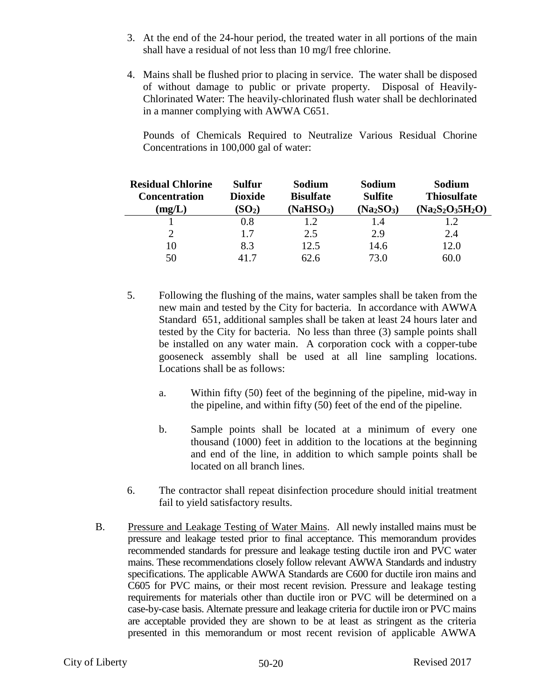- 3. At the end of the 24-hour period, the treated water in all portions of the main shall have a residual of not less than 10 mg/l free chlorine.
- 4. Mains shall be flushed prior to placing in service. The water shall be disposed of without damage to public or private property. Disposal of Heavily-Chlorinated Water: The heavily-chlorinated flush water shall be dechlorinated in a manner complying with AWWA C651.

 Pounds of Chemicals Required to Neutralize Various Residual Chorine Concentrations in 100,000 gal of water:

| <b>Residual Chlorine</b><br><b>Concentration</b><br>(mg/L) | Sulfur<br><b>Dioxide</b><br>(SO <sub>2</sub> ) | Sodium<br><b>Bisulfate</b><br>(NaHSO <sub>3</sub> ) | Sodium<br><b>Sulfite</b><br>$(Na_2SO_3)$ | Sodium<br><b>Thiosulfate</b><br>$(Na_2S_2O_35H_2O)$ |
|------------------------------------------------------------|------------------------------------------------|-----------------------------------------------------|------------------------------------------|-----------------------------------------------------|
|                                                            | 0.8                                            | 1.2                                                 | 1.4                                      | 1.2                                                 |
|                                                            | 1.7                                            | 2.5                                                 | 2.9                                      | 2.4                                                 |
| 10                                                         | 8.3                                            | 12.5                                                | 14.6                                     | 12.0                                                |
| 50                                                         | 417                                            | 62.6                                                | 73.O                                     | 60.0                                                |

- 5. Following the flushing of the mains, water samples shall be taken from the new main and tested by the City for bacteria. In accordance with AWWA Standard 651, additional samples shall be taken at least 24 hours later and tested by the City for bacteria. No less than three (3) sample points shall be installed on any water main. A corporation cock with a copper-tube gooseneck assembly shall be used at all line sampling locations. Locations shall be as follows:
	- a. Within fifty (50) feet of the beginning of the pipeline, mid-way in the pipeline, and within fifty (50) feet of the end of the pipeline.
	- b. Sample points shall be located at a minimum of every one thousand (1000) feet in addition to the locations at the beginning and end of the line, in addition to which sample points shall be located on all branch lines.
- 6. The contractor shall repeat disinfection procedure should initial treatment fail to yield satisfactory results.
- B. Pressure and Leakage Testing of Water Mains. All newly installed mains must be pressure and leakage tested prior to final acceptance. This memorandum provides recommended standards for pressure and leakage testing ductile iron and PVC water mains. These recommendations closely follow relevant AWWA Standards and industry specifications. The applicable AWWA Standards are C600 for ductile iron mains and C605 for PVC mains, or their most recent revision. Pressure and leakage testing requirements for materials other than ductile iron or PVC will be determined on a case-by-case basis. Alternate pressure and leakage criteria for ductile iron or PVC mains are acceptable provided they are shown to be at least as stringent as the criteria presented in this memorandum or most recent revision of applicable AWWA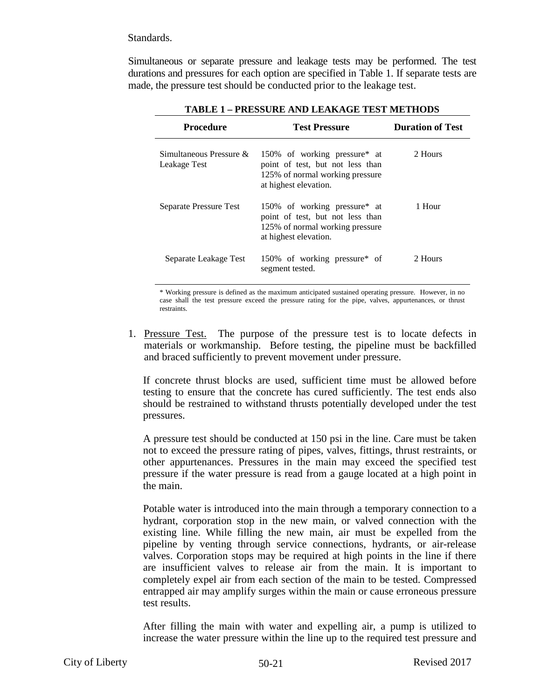#### Standards.

Simultaneous or separate pressure and leakage tests may be performed. The test durations and pressures for each option are specified in Table 1. If separate tests are made, the pressure test should be conducted prior to the leakage test.

| Procedure                                  | <b>Test Pressure</b>                                                                                                         | <b>Duration of Test</b> |  |  |  |
|--------------------------------------------|------------------------------------------------------------------------------------------------------------------------------|-------------------------|--|--|--|
| Simultaneous Pressure $\&$<br>Leakage Test | 150% of working pressure* at<br>point of test, but not less than<br>125% of normal working pressure<br>at highest elevation. | 2 Hours                 |  |  |  |
| Separate Pressure Test                     | 150% of working pressure* at<br>point of test, but not less than<br>125% of normal working pressure<br>at highest elevation. | 1 Hour                  |  |  |  |
| Separate Leakage Test                      | 150% of working pressure* of<br>segment tested.                                                                              | 2 Hours                 |  |  |  |

**TABLE 1 – PRESSURE AND LEAKAGE TEST METHODS** 

\* Working pressure is defined as the maximum anticipated sustained operating pressure. However, in no case shall the test pressure exceed the pressure rating for the pipe, valves, appurtenances, or thrust restraints.

1. Pressure Test. The purpose of the pressure test is to locate defects in materials or workmanship. Before testing, the pipeline must be backfilled and braced sufficiently to prevent movement under pressure.

If concrete thrust blocks are used, sufficient time must be allowed before testing to ensure that the concrete has cured sufficiently. The test ends also should be restrained to withstand thrusts potentially developed under the test pressures.

A pressure test should be conducted at 150 psi in the line. Care must be taken not to exceed the pressure rating of pipes, valves, fittings, thrust restraints, or other appurtenances. Pressures in the main may exceed the specified test pressure if the water pressure is read from a gauge located at a high point in the main.

Potable water is introduced into the main through a temporary connection to a hydrant, corporation stop in the new main, or valved connection with the existing line. While filling the new main, air must be expelled from the pipeline by venting through service connections, hydrants, or air-release valves. Corporation stops may be required at high points in the line if there are insufficient valves to release air from the main. It is important to completely expel air from each section of the main to be tested. Compressed entrapped air may amplify surges within the main or cause erroneous pressure test results.

After filling the main with water and expelling air, a pump is utilized to increase the water pressure within the line up to the required test pressure and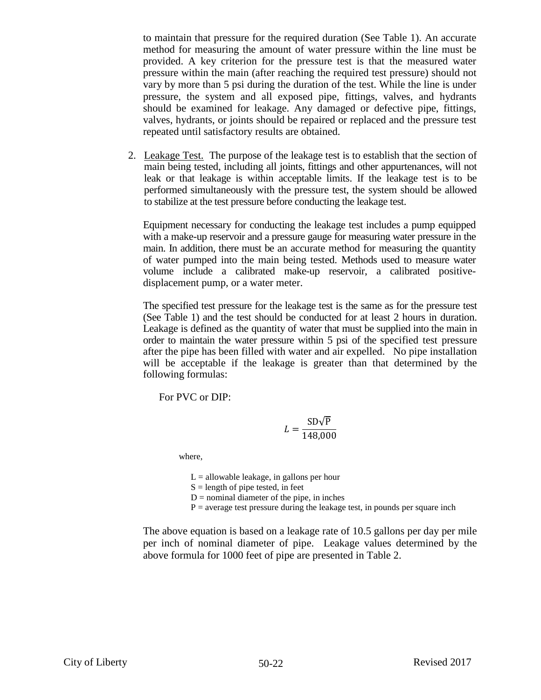to maintain that pressure for the required duration (See Table 1). An accurate method for measuring the amount of water pressure within the line must be provided. A key criterion for the pressure test is that the measured water pressure within the main (after reaching the required test pressure) should not vary by more than 5 psi during the duration of the test. While the line is under pressure, the system and all exposed pipe, fittings, valves, and hydrants should be examined for leakage. Any damaged or defective pipe, fittings, valves, hydrants, or joints should be repaired or replaced and the pressure test repeated until satisfactory results are obtained.

2. Leakage Test. The purpose of the leakage test is to establish that the section of main being tested, including all joints, fittings and other appurtenances, will not leak or that leakage is within acceptable limits. If the leakage test is to be performed simultaneously with the pressure test, the system should be allowed to stabilize at the test pressure before conducting the leakage test.

Equipment necessary for conducting the leakage test includes a pump equipped with a make-up reservoir and a pressure gauge for measuring water pressure in the main. In addition, there must be an accurate method for measuring the quantity of water pumped into the main being tested. Methods used to measure water volume include a calibrated make-up reservoir, a calibrated positivedisplacement pump, or a water meter.

The specified test pressure for the leakage test is the same as for the pressure test (See Table 1) and the test should be conducted for at least 2 hours in duration. Leakage is defined as the quantity of water that must be supplied into the main in order to maintain the water pressure within 5 psi of the specified test pressure after the pipe has been filled with water and air expelled. No pipe installation will be acceptable if the leakage is greater than that determined by the following formulas:

For PVC or DIP:

$$
L = \frac{\text{SD}\sqrt{\text{P}}}{148,000}
$$

where,

 $L =$  allowable leakage, in gallons per hour

 $S =$  length of pipe tested, in feet

 $D =$  nominal diameter of the pipe, in inches

 $P =$  average test pressure during the leakage test, in pounds per square inch

The above equation is based on a leakage rate of 10.5 gallons per day per mile per inch of nominal diameter of pipe. Leakage values determined by the above formula for 1000 feet of pipe are presented in Table 2.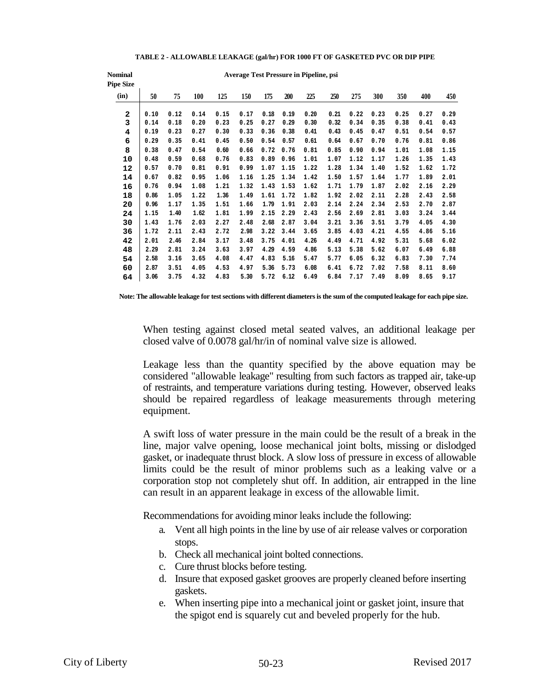| <b>Nominal</b><br><b>Pipe Size</b> | <b>Average Test Pressure in Pipeline, psi</b> |      |      |      |      |      |      |      |      |      |      |      |      |      |
|------------------------------------|-----------------------------------------------|------|------|------|------|------|------|------|------|------|------|------|------|------|
| (in)                               | 50                                            | 75   | 100  | 125  | 150  | 175  | 200  | 225  | 250  | 275  | 300  | 350  | 400  | 450  |
| $\mathbf{2}$                       | 0.10                                          | 0.12 | 0.14 | 0.15 | 0.17 | 0.18 | 0.19 | 0.20 | 0.21 | 0.22 | 0.23 | 0.25 | 0.27 | 0.29 |
| 3                                  | 0.14                                          | 0.18 | 0.20 | 0.23 | 0.25 | 0.27 | 0.29 | 0.30 | 0.32 | 0.34 | 0.35 | 0.38 | 0.41 | 0.43 |
| 4                                  | 0.19                                          | 0.23 | 0.27 | 0.30 | 0.33 | 0.36 | 0.38 | 0.41 | 0.43 | 0.45 | 0.47 | 0.51 | 0.54 | 0.57 |
| 6                                  | 0.29                                          | 0.35 | 0.41 | 0.45 | 0.50 | 0.54 | 0.57 | 0.61 | 0.64 | 0.67 | 0.70 | 0.76 | 0.81 | 0.86 |
| 8                                  | 0.38                                          | 0.47 | 0.54 | 0.60 | 0.66 | 0.72 | 0.76 | 0.81 | 0.85 | 0.90 | 0.94 | 1.01 | 1.08 | 1.15 |
| 10                                 | 0.48                                          | 0.59 | 0.68 | 0.76 | 0.83 | 0.89 | 0.96 | 1.01 | 1.07 | 1.12 | 1.17 | 1.26 | 1.35 | 1.43 |
| 12                                 | 0.57                                          | 0.70 | 0.81 | 0.91 | 0.99 | 1.07 | 1.15 | 1.22 | 1.28 | 1.34 | 1.40 | 1.52 | 1.62 | 1.72 |
| 14                                 | 0.67                                          | 0.82 | 0.95 | 1.06 | 1.16 | 1.25 | 1.34 | 1.42 | 1.50 | 1.57 | 1.64 | 1.77 | 1.89 | 2.01 |
| 16                                 | 0.76                                          | 0.94 | 1.08 | 1.21 | 1.32 | 1.43 | 1.53 | 1.62 | 1.71 | 1.79 | 1.87 | 2.02 | 2.16 | 2.29 |
| 18                                 | 0.86                                          | 1.05 | 1.22 | 1.36 | 1.49 | 1.61 | 1.72 | 1.82 | 1.92 | 2.02 | 2.11 | 2.28 | 2.43 | 2.58 |
| 20                                 | 0.96                                          | 1.17 | 1.35 | 1.51 | 1.66 | 1.79 | 1.91 | 2.03 | 2.14 | 2.24 | 2.34 | 2.53 | 2.70 | 2.87 |
| 24                                 | 1.15                                          | 1.40 | 1.62 | 1.81 | 1.99 | 2.15 | 2.29 | 2.43 | 2.56 | 2.69 | 2.81 | 3.03 | 3.24 | 3.44 |
| 30                                 | 1.43                                          | 1.76 | 2.03 | 2.27 | 2.48 | 2.68 | 2.87 | 3.04 | 3.21 | 3.36 | 3.51 | 3.79 | 4.05 | 4.30 |
| 36                                 | 1.72                                          | 2.11 | 2.43 | 2.72 | 2.98 | 3.22 | 3.44 | 3.65 | 3.85 | 4.03 | 4.21 | 4.55 | 4.86 | 5.16 |
| 42                                 | 2.01                                          | 2.46 | 2.84 | 3.17 | 3.48 | 3.75 | 4.01 | 4.26 | 4.49 | 4.71 | 4.92 | 5.31 | 5.68 | 6.02 |
| 48                                 | 2.29                                          | 2.81 | 3.24 | 3.63 | 3.97 | 4.29 | 4.59 | 4.86 | 5.13 | 5.38 | 5.62 | 6.07 | 6.49 | 6.88 |
| 54                                 | 2.58                                          | 3.16 | 3.65 | 4.08 | 4.47 | 4.83 | 5.16 | 5.47 | 5.77 | 6.05 | 6.32 | 6.83 | 7.30 | 7.74 |
| 60                                 | 2.87                                          | 3.51 | 4.05 | 4.53 | 4.97 | 5.36 | 5.73 | 6.08 | 6.41 | 6.72 | 7.02 | 7.58 | 8.11 | 8.60 |
| 64                                 | 3.06                                          | 3.75 | 4.32 | 4.83 | 5.30 | 5.72 | 6.12 | 6.49 | 6.84 | 7.17 | 7.49 | 8.09 | 8.65 | 9.17 |

#### **TABLE 2 - ALLOWABLE LEAKAGE (gal/hr) FOR 1000 FT OF GASKETED PVC OR DIP PIPE**

**Note: The allowable leakage for test sections with different diameters is the sum of the computed leakage for each pipe size.**

When testing against closed metal seated valves, an additional leakage per closed valve of 0.0078 gal/hr/in of nominal valve size is allowed.

Leakage less than the quantity specified by the above equation may be considered "allowable leakage" resulting from such factors as trapped air, take-up of restraints, and temperature variations during testing. However, observed leaks should be repaired regardless of leakage measurements through metering equipment.

A swift loss of water pressure in the main could be the result of a break in the line, major valve opening, loose mechanical joint bolts, missing or dislodged gasket, or inadequate thrust block. A slow loss of pressure in excess of allowable limits could be the result of minor problems such as a leaking valve or a corporation stop not completely shut off. In addition, air entrapped in the line can result in an apparent leakage in excess of the allowable limit.

Recommendations for avoiding minor leaks include the following:

- a. Vent all high points in the line by use of air release valves or corporation stops.
- b. Check all mechanical joint bolted connections.
- c. Cure thrust blocks before testing.
- d. Insure that exposed gasket grooves are properly cleaned before inserting gaskets.
- e. When inserting pipe into a mechanical joint or gasket joint, insure that the spigot end is squarely cut and beveled properly for the hub.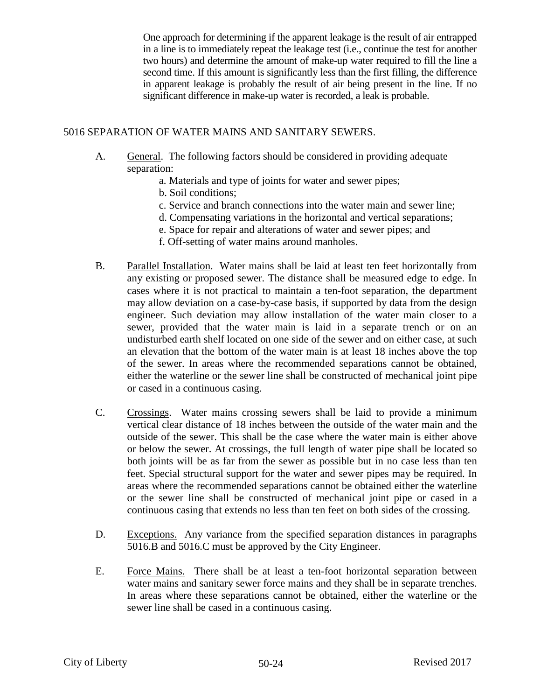One approach for determining if the apparent leakage is the result of air entrapped in a line is to immediately repeat the leakage test (i.e., continue the test for another two hours) and determine the amount of make-up water required to fill the line a second time. If this amount is significantly less than the first filling, the difference in apparent leakage is probably the result of air being present in the line. If no significant difference in make-up water is recorded, a leak is probable.

## 5016 SEPARATION OF WATER MAINS AND SANITARY SEWERS.

- A. General. The following factors should be considered in providing adequate separation:
	- a. Materials and type of joints for water and sewer pipes;
	- b. Soil conditions;
	- c. Service and branch connections into the water main and sewer line;
	- d. Compensating variations in the horizontal and vertical separations;
	- e. Space for repair and alterations of water and sewer pipes; and
	- f. Off-setting of water mains around manholes.
- B. Parallel Installation. Water mains shall be laid at least ten feet horizontally from any existing or proposed sewer. The distance shall be measured edge to edge. In cases where it is not practical to maintain a ten-foot separation, the department may allow deviation on a case-by-case basis, if supported by data from the design engineer. Such deviation may allow installation of the water main closer to a sewer, provided that the water main is laid in a separate trench or on an undisturbed earth shelf located on one side of the sewer and on either case, at such an elevation that the bottom of the water main is at least 18 inches above the top of the sewer. In areas where the recommended separations cannot be obtained, either the waterline or the sewer line shall be constructed of mechanical joint pipe or cased in a continuous casing.
- C. Crossings. Water mains crossing sewers shall be laid to provide a minimum vertical clear distance of 18 inches between the outside of the water main and the outside of the sewer. This shall be the case where the water main is either above or below the sewer. At crossings, the full length of water pipe shall be located so both joints will be as far from the sewer as possible but in no case less than ten feet. Special structural support for the water and sewer pipes may be required. In areas where the recommended separations cannot be obtained either the waterline or the sewer line shall be constructed of mechanical joint pipe or cased in a continuous casing that extends no less than ten feet on both sides of the crossing.
- D. Exceptions. Any variance from the specified separation distances in paragraphs 5016.B and 5016.C must be approved by the City Engineer.
- E. Force Mains. There shall be at least a ten-foot horizontal separation between water mains and sanitary sewer force mains and they shall be in separate trenches. In areas where these separations cannot be obtained, either the waterline or the sewer line shall be cased in a continuous casing.